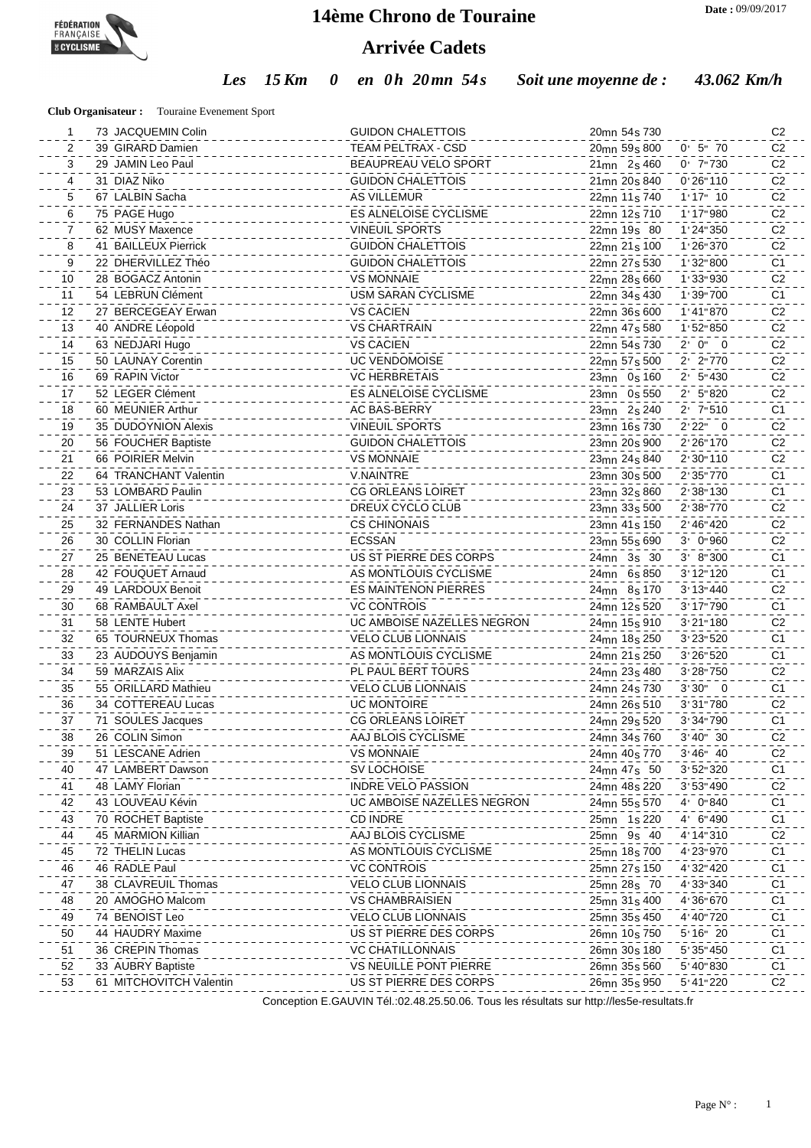

## **14ème Chrono de Touraine**

## **Arrivée Cadets**

*Les 15 Km 0 en 0h 20mn 54s Soit une moyenne de : 43.062 Km/h*

**Club Organisateur :** Touraine Evenement Sport

| 1  | 73 JACQUEMIN Colin      | <b>GUIDON CHALETTOIS</b>    | 20 <sub>mn</sub> 54 <sub>s</sub> 730               | C <sub>2</sub> |
|----|-------------------------|-----------------------------|----------------------------------------------------|----------------|
| 2  | 39 GIRARD Damien        | <b>TEAM PELTRAX - CSD</b>   | 20 <sub>mn</sub> 59 <sub>s</sub> 800<br>$0'$ 5" 70 | C <sub>2</sub> |
| 3  | 29 JAMIN Leo Paul       | <b>BEAUPREAU VELO SPORT</b> | 21mn 2s 460<br>$0'$ 7"730                          | C <sub>2</sub> |
| 4  | 31 DIAZ Niko            | <b>GUIDON CHALETTOIS</b>    | 21 <sub>mn</sub> 20 <sub>s</sub> 840<br>0'26'110   | C <sub>2</sub> |
| 5  | 67 LALBIN Sacha         | <b>AS VILLEMUR</b>          | $1'17''$ 10<br>22mn 11s 740                        | C <sub>2</sub> |
| 6  | 75 PAGE Hugo            | ES ALNELOISE CYCLISME       | 1:17:980<br>22mn 12s 710                           | C <sub>2</sub> |
| 7  | 62 MUSY Maxence         | <b>VINEUIL SPORTS</b>       | 22mn 19s 80<br>1'24''350                           | C <sub>2</sub> |
| 8  | 41 BAILLEUX Pierrick    | <b>GUIDON CHALETTOIS</b>    | 22 <sub>mn</sub> 21 <sub>s</sub> 100<br>1'26''370  | C <sub>2</sub> |
| 9  | 22 DHERVILLEZ Théo      | <b>GUIDON CHALETTOIS</b>    | 22mn 27s 530<br>1'32''800                          | C1             |
| 10 | 28 BOGACZ Antonin       | <b>VS MONNAIE</b>           | 1 ' 33" 930<br>22mn 28s 660                        | C <sub>2</sub> |
| 11 | 54 LEBRUN Clément       | <b>USM SARAN CYCLISME</b>   | 1 ' 39" 700<br>22mn 34s 430                        | C <sub>1</sub> |
| 12 | 27 BERCEGEAY Erwan      | <b>VS CACIEN</b>            | 1'41''870<br>22mn 36s 600                          | C <sub>2</sub> |
| 13 | 40 ANDRE Léopold        | <b>VS CHARTRAIN</b>         | 22mn 47s 580<br>1:52:850                           | C <sub>2</sub> |
| 14 | 63 NEDJARI Hugo         | <b>VS CACIEN</b>            | 2' 0'' 0<br>22mn 54s 730                           | C <sub>2</sub> |
| 15 | 50 LAUNAY Corentin      | <b>UC VENDOMOISE</b>        | $2'$ 2"770<br>22mn 57s 500                         | C <sub>2</sub> |
| 16 | 69 RAPIN Victor         | <b>VC HERBRETAIS</b>        | $2'$ 5" 430<br>23mn 0s 160                         | C <sub>2</sub> |
| 17 | 52 LEGER Clément        | ES ALNELOISE CYCLISME       | $2'$ 5"820<br>23mn 0s 550                          | C <sub>2</sub> |
| 18 | 60 MEUNIER Arthur       | AC BAS-BERRY                | 2' 7"510<br>23mn 2s 240                            | C <sub>1</sub> |
| 19 | 35 DUDOYNION Alexis     | <b>VINEUIL SPORTS</b>       | 2'22" 0<br>23mn 16s 730                            | C <sub>2</sub> |
| 20 | 56 FOUCHER Baptiste     | <b>GUIDON CHALETTOIS</b>    | 2' 26" 170<br>23mn 20s 900                         | C <sub>2</sub> |
| 21 | 66 POIRIER Melvin       | <b>VS MONNAIE</b>           | 2'30"110<br>23mn 24s 840                           | C <sub>2</sub> |
| 22 | 64 TRANCHANT Valentin   | <b>V.NAINTRE</b>            | 2'35"770<br>23mn 30s 500                           | C <sub>1</sub> |
| 23 | 53 LOMBARD Paulin       | <b>CG ORLEANS LOIRET</b>    | 2' 38" 130<br>23mn 32s 860                         | C <sub>1</sub> |
| 24 | 37 JALLIER Loris        | DREUX CYCLO CLUB            | 2'38"770<br>23mn 33s 500                           | C <sub>2</sub> |
| 25 | 32 FERNANDES Nathan     | <b>CS CHINONAIS</b>         | 2' 46" 420<br>23mn 41s 150                         | C <sub>2</sub> |
| 26 | 30 COLLIN Florian       | <b>ECSSAN</b>               | 3' 0"960<br>23mn 55s 690                           | C <sub>2</sub> |
| 27 | 25 BENETEAU Lucas       | US ST PIERRE DES CORPS      | 3' 8'' 300<br>24mn 3s 30                           | C <sub>1</sub> |
| 28 | 42 FOUQUET Arnaud       | AS MONTLOUIS CYCLISME       | 3' 12" 120<br>24mn 6s 850                          | C <sub>1</sub> |
| 29 | 49 LARDOUX Benoit       | ES MAINTENON PIERRES        | 3' 13" 440<br>24mn 8s 170                          | C <sub>2</sub> |
| 30 | 68 RAMBAULT Axel        | <b>VC CONTROIS</b>          | 3' 17" 790<br>24mn 12s 520                         | C <sub>1</sub> |
| 31 | 58 LENTE Hubert         | UC AMBOISE NAZELLES NEGRON  | 3'21''180<br>24mn 15s 910                          | C <sub>2</sub> |
| 32 | 65 TOURNEUX Thomas      | <b>VELO CLUB LIONNAIS</b>   | 3' 23" 520<br>24mn 18s 250                         | C <sub>1</sub> |
| 33 | 23 AUDOUYS Benjamin     | AS MONTLOUIS CYCLISME       | 3' 26" 520<br>24mn 21s 250                         | C <sub>1</sub> |
| 34 | 59 MARZAIS Alix         | PL PAUL BERT TOURS          | 3' 28" 750<br>24mn 23s 480                         | C <sub>2</sub> |
| 35 | 55 ORILLARD Mathieu     | <b>VELO CLUB LIONNAIS</b>   | $3'30''$ 0<br>24mn 24s 730                         | C <sub>1</sub> |
| 36 | 34 COTTEREAU Lucas      | <b>UC MONTOIRE</b>          | 3'31"780<br>24mn 26s 510                           | C <sub>2</sub> |
| 37 | 71 SOULES Jacques       | <b>CG ORLEANS LOIRET</b>    | 3' 34" 790<br>24mn 29s 520                         | C1             |
| 38 | 26 COLIN Simon          | AAJ BLOIS CYCLISME          | 3'40''30<br>24mn 34s 760                           | C <sub>2</sub> |
| 39 | 51 LESCANE Adrien       | <b>VS MONNAIE</b>           | 24mn 40s 770<br>$3'46''$ 40                        | C <sub>2</sub> |
| 40 | 47 LAMBERT Dawson       | SV LOCHOISE                 | 24mn 47s 50<br>3'52''320                           | C <sub>1</sub> |
| 41 | 48 LAMY Florian         | <b>INDRE VELO PASSION</b>   | 3' 53" 490<br>24mn 48s 220                         | C <sub>2</sub> |
| 42 | 43 LOUVEAU Kévin        | UC AMBOISE NAZELLES NEGRON  | 4' 0"840<br>24mn 55s 570                           | C <sub>1</sub> |
| 43 | 70 ROCHET Baptiste      | <b>CD INDRE</b>             | 4' 6"490<br>25mn 1s 220                            | C <sub>1</sub> |
| 44 | 45 MARMION Killian      | AAJ BLOIS CYCLISME          | 25mn 9s 40<br>4'14"310                             | C <sub>2</sub> |
| 45 | 72 THELIN Lucas         | AS MONTLOUIS CYCLISME       | 25mn 18s 700<br>4'23"970                           | C <sub>1</sub> |
| 46 | 46 RADLE Paul           | <b>VC CONTROIS</b>          | 4'32"420<br>25mn 27s 150                           | C <sub>1</sub> |
| 47 | 38 CLAVREUIL Thomas     | <b>VELO CLUB LIONNAIS</b>   | 25mn 28s 70<br>4'33"340                            | C <sub>1</sub> |
| 48 | 20 AMOGHO Malcom        | <b>VS CHAMBRAISIEN</b>      | 25mn 31s 400<br>4'36"670                           | C <sub>1</sub> |
| 49 | 74 BENOIST Leo          | <b>VELO CLUB LIONNAIS</b>   | 25mn 35s 450<br>4'40"720                           | C <sub>1</sub> |
| 50 | 44 HAUDRY Maxime        | US ST PIERRE DES CORPS      | 26mn 10s 750<br>5'16''20                           | C <sub>1</sub> |
| 51 | 36 CREPIN Thomas        | <b>VC CHATILLONNAIS</b>     | 26mn 30s 180<br>5'35''450                          | C <sub>1</sub> |
| 52 | 33 AUBRY Baptiste       | VS NEUILLE PONT PIERRE      | 26mn 35s 560<br>5' 40'' 830                        | C <sub>1</sub> |
| 53 | 61 MITCHOVITCH Valentin | US ST PIERRE DES CORPS      | 26mn 35s 950<br>5' 41'' 220                        | C <sub>2</sub> |
|    |                         |                             |                                                    |                |

Conception E.GAUVIN Tél.:02.48.25.50.06. Tous les résultats sur http://les5e-resultats.fr